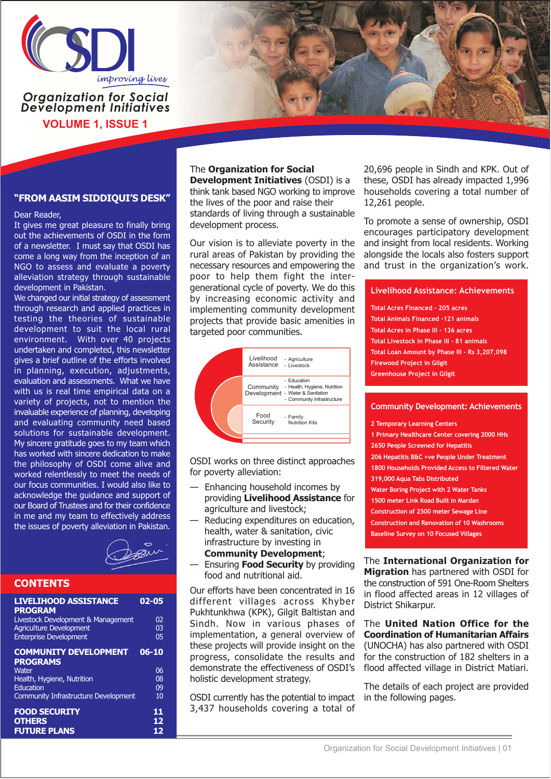

### **Organization for Social Development Initiatives VOLUME 1, ISSUE 1**

#### "FROM AASIM SIDDIQUI'S DESK"

Dear Reader,

It gives me great pleasure to finally bring out the achievements of OSDI in the form of a newsletter. I must say that OSDI has come a long way from the inception of an NGO to assess and evaluate a poverty alleviation strategy through sustainable development in Pakistan.

We changed our initial strategy of assessment through research and applied practices in testing the theories of sustainable development to suit the local rural environment. With over 40 projects undertaken and completed, this newsletter gives a brief outline of the efforts involved in planning, execution, adjustments, evaluation and assessments. What we have with us is real time empirical data on a variety of projects, not to mention the invaluable experience of planning, developing and evaluating community need based solutions for sustainable development. My sincere gratitude goes to my team which has worked with sincere dedication to make the philosophy of OSDI come alive and worked relentlessly to meet the needs of our focus communities. I would also like to acknowledge the guidance and support of our Board of Trustees and for their confidence in me and my team to effectively address the issues of poverty alleviation in Pakistan.



#### **CONTENTS**

| <b>LIVELIHOOD ASSISTANCE</b><br><b>PROGRAM</b> | $02 - 05$ |
|------------------------------------------------|-----------|
| Livestock Development & Management             | 02        |
| <b>Agriculture Development</b>                 | 03        |
| <b>Enterprise Development</b>                  | 05        |
| <b>COMMUNITY DEVELOPMENT</b>                   | $06 - 10$ |
| <b>PROGRAMS</b>                                |           |
| Water                                          | 06        |
| Health, Hygiene, Nutrition                     | 08        |
| Education                                      | 09        |
| <b>Community Infrastructure Development</b>    | 10        |
| <b>FOOD SECURITY</b>                           | 11        |
| <b>OTHERS</b>                                  | 12        |
| EI ITI IDE DI ANC                              | 1つ        |

#### The Organization for Social

**Development Initiatives (OSDI) is a** think tank based NGO working to improve the lives of the poor and raise their standards of living through a sustainable development process.

Our vision is to alleviate poverty in the rural areas of Pakistan by providing the necessary resources and empowering the poor to help them fight the intergenerational cycle of poverty. We do this by increasing economic activity and implementing community development projects that provide basic amenities in targeted poor communities.



OSDI works on three distinct approaches for poverty alleviation:

- Enhancing household incomes by providing Livelihood Assistance for agriculture and livestock;
- Reducing expenditures on education, health, water & sanitation, civic infrastructure by investing in **Community Development;**
- Ensuring **Food Security** by providing food and nutritional aid.

Our efforts have been concentrated in 16 different villages across Khyber Pukhtunkhwa (KPK), Gilgit Baltistan and Sindh. Now in various phases of implementation, a general overview of these projects will provide insight on the progress, consolidate the results and demonstrate the effectiveness of OSDI's holistic development strategy.

OSDI currently has the potential to impact 3,437 households covering a total of

20,696 people in Sindh and KPK. Out of these, OSDI has already impacted 1,996 households covering a total number of 12,261 people.

To promote a sense of ownership, OSDI encourages participatory development and insight from local residents. Working alongside the locals also fosters support and trust in the organization's work.

#### **Livelihood Assistance: Achievements**

Total Acres Financed - 205 acres **Total Animals Financed -121 animals** Total Acres in Phase III - 136 acres Total Livestock in Phase III - 81 animals Total Loan Amount by Phase III - Rs 3,207,098 **Firewood Project in Gilgit Greenhouse Project in Gilgit** 

#### **Community Development: Achievements**

2 Temporary Learning Centers

- 1 Primary Healthcare Center covering 2000 HHs
- 2650 People Screened for Hepatitis
- 206 Hepatitis B&C +ve People Under Treatment
- 1800 Households Provided Access to Filtered Water
- 319,000 Aqua Tabs Distributed
- Water Boring Project with 2 Water Tanks
- 1500 meter Link Road Built in Mardan
- Construction of 2500 meter Sewage Line
- **Construction and Renovation of 10 Washrooms**
- **Baseline Survey on 10 Focused Villages**

The International Organization for Migration has partnered with OSDI for the construction of 591 One-Room Shelters in flood affected areas in 12 villages of District Shikarpur.

The United Nation Office for the **Coordination of Humanitarian Affairs** (UNOCHA) has also partnered with OSDI for the construction of 182 shelters in a flood affected village in District Matiari.

The details of each project are provided in the following pages.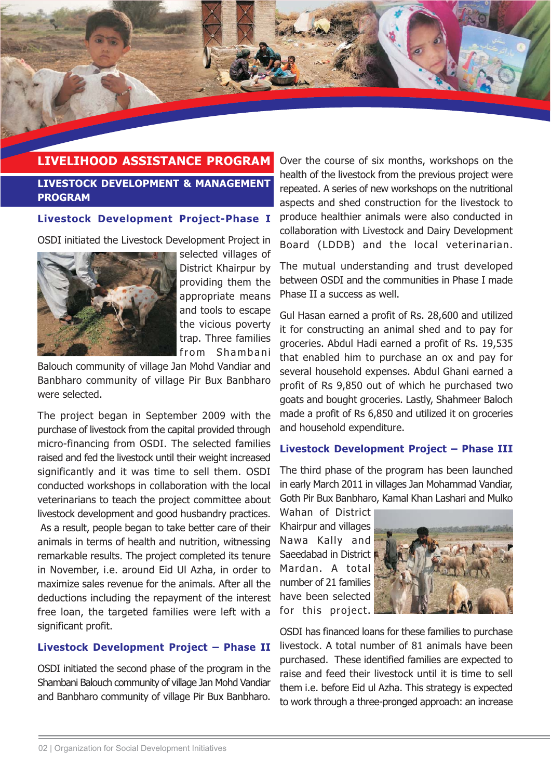

# **LIVELIHOOD ASSISTANCE PROGRAM**

**LIVESTOCK DEVELOPMENT & MANAGEMENT PROGRAM** 

#### Livestock Development Project-Phase I

OSDI initiated the Livestock Development Project in



selected villages of District Khairpur by providing them the appropriate means and tools to escape the vicious poverty trap. Three families from Shambani

Balouch community of village Jan Mohd Vandiar and Banbharo community of village Pir Bux Banbharo were selected.

The project began in September 2009 with the purchase of livestock from the capital provided through micro-financing from OSDI. The selected families raised and fed the livestock until their weight increased significantly and it was time to sell them. OSDI conducted workshops in collaboration with the local veterinarians to teach the project committee about livestock development and good husbandry practices. As a result, people began to take better care of their animals in terms of health and nutrition, witnessing remarkable results. The project completed its tenure in November, i.e. around Eid Ul Azha, in order to maximize sales revenue for the animals. After all the deductions including the repayment of the interest free loan, the targeted families were left with a significant profit.

#### Livestock Development Project - Phase II

OSDI initiated the second phase of the program in the Shambani Balouch community of village Jan Mohd Vandiar and Banbharo community of village Pir Bux Banbharo. Over the course of six months, workshops on the health of the livestock from the previous project were repeated. A series of new workshops on the nutritional aspects and shed construction for the livestock to produce healthier animals were also conducted in collaboration with Livestock and Dairy Development Board (LDDB) and the local veterinarian.

The mutual understanding and trust developed between OSDI and the communities in Phase I made Phase II a success as well.

Gul Hasan earned a profit of Rs. 28,600 and utilized it for constructing an animal shed and to pay for groceries. Abdul Hadi earned a profit of Rs. 19,535 that enabled him to purchase an ox and pay for several household expenses. Abdul Ghani earned a profit of Rs 9,850 out of which he purchased two goats and bought groceries. Lastly, Shahmeer Baloch made a profit of Rs 6,850 and utilized it on groceries and household expenditure.

#### Livestock Development Project - Phase III

The third phase of the program has been launched in early March 2011 in villages Jan Mohammad Vandiar, Goth Pir Bux Banbharo, Kamal Khan Lashari and Mulko

Wahan of District Khairpur and villages Nawa Kally and Saeedabad in District Mardan, A total number of 21 families have been selected for this project.



OSDI has financed loans for these families to purchase livestock. A total number of 81 animals have been purchased. These identified families are expected to raise and feed their livestock until it is time to sell them i.e. before Eid ul Azha. This strategy is expected to work through a three-pronged approach: an increase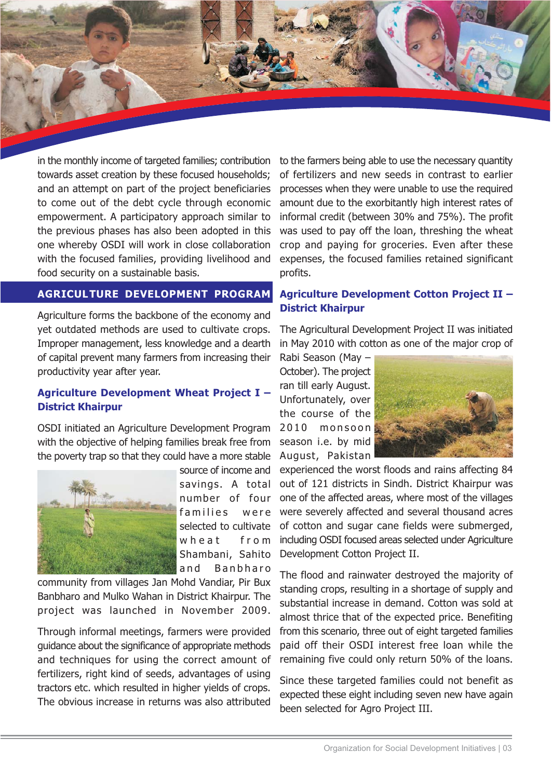in the monthly income of targeted families; contribution towards asset creation by these focused households; and an attempt on part of the project beneficiaries to come out of the debt cycle through economic empowerment. A participatory approach similar to the previous phases has also been adopted in this one whereby OSDI will work in close collaboration with the focused families, providing livelihood and food security on a sustainable basis.

#### AGRICULTURE DEVELOPMENT PROGRAM

Agriculture forms the backbone of the economy and yet outdated methods are used to cultivate crops. Improper management, less knowledge and a dearth of capital prevent many farmers from increasing their productivity year after year.

### Agriculture Development Wheat Project I -**District Khairpur**

OSDI initiated an Agriculture Development Program with the objective of helping families break free from the poverty trap so that they could have a more stable



source of income and savings. A total number of four were families selected to cultivate wheat from Shambani, Sahito and **Banbharo** 

community from villages Jan Mohd Vandiar, Pir Bux Banbharo and Mulko Wahan in District Khairpur. The project was launched in November 2009.

Through informal meetings, farmers were provided quidance about the significance of appropriate methods and techniques for using the correct amount of fertilizers, right kind of seeds, advantages of using tractors etc. which resulted in higher yields of crops. The obvious increase in returns was also attributed

to the farmers being able to use the necessary quantity of fertilizers and new seeds in contrast to earlier processes when they were unable to use the required amount due to the exorbitantly high interest rates of informal credit (between 30% and 75%). The profit was used to pay off the loan, threshing the wheat crop and paying for groceries. Even after these expenses, the focused families retained significant profits.

### **Agriculture Development Cotton Project II -District Khairpur**

The Agricultural Development Project II was initiated in May 2010 with cotton as one of the major crop of

Rabi Season (May -October). The project ran till early August. Unfortunately, over the course of the 2010 monsoon season i.e. by mid August, Pakistan



experienced the worst floods and rains affecting 84 out of 121 districts in Sindh, District Khairpur was one of the affected areas, where most of the villages were severely affected and several thousand acres of cotton and sugar cane fields were submerged, including OSDI focused areas selected under Agriculture Development Cotton Project II.

The flood and rainwater destroyed the majority of standing crops, resulting in a shortage of supply and substantial increase in demand. Cotton was sold at almost thrice that of the expected price. Benefiting from this scenario, three out of eight targeted families paid off their OSDI interest free loan while the remaining five could only return 50% of the loans.

Since these targeted families could not benefit as expected these eight including seven new have again been selected for Agro Project III.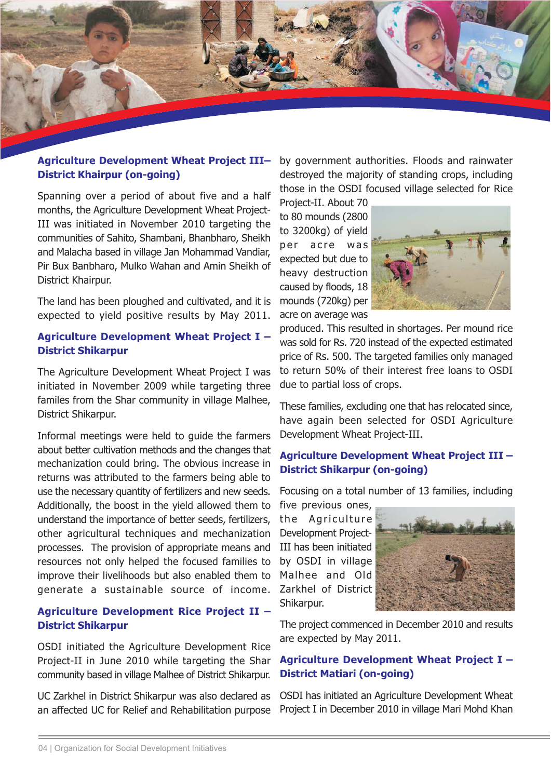

### **Agriculture Development Wheat Project III-District Khairpur (on-going)**

Spanning over a period of about five and a half months, the Agriculture Development Wheat Project-III was initiated in November 2010 targeting the communities of Sahito, Shambani, Bhanbharo, Sheikh and Malacha based in village Jan Mohammad Vandiar, Pir Bux Banbharo, Mulko Wahan and Amin Sheikh of District Khairpur.

The land has been ploughed and cultivated, and it is expected to yield positive results by May 2011.

#### Agriculture Development Wheat Project I -**District Shikarpur**

The Agriculture Development Wheat Project I was initiated in November 2009 while targeting three familes from the Shar community in village Malhee, District Shikarpur.

Informal meetings were held to quide the farmers about better cultivation methods and the changes that mechanization could bring. The obvious increase in returns was attributed to the farmers being able to use the necessary quantity of fertilizers and new seeds. Additionally, the boost in the yield allowed them to understand the importance of better seeds, fertilizers, other agricultural techniques and mechanization processes. The provision of appropriate means and resources not only helped the focused families to improve their livelihoods but also enabled them to generate a sustainable source of income.

### **Agriculture Development Rice Project II -District Shikarpur**

OSDI initiated the Agriculture Development Rice Project-II in June 2010 while targeting the Shar community based in village Malhee of District Shikarpur.

UC Zarkhel in District Shikarpur was also declared as an affected UC for Relief and Rehabilitation purpose

by government authorities. Floods and rainwater destroyed the majority of standing crops, including those in the OSDI focused village selected for Rice

Project-II. About 70 to 80 mounds (2800 to 3200kg) of yield per acre was expected but due to heavy destruction caused by floods, 18 mounds (720kg) per acre on average was



produced. This resulted in shortages. Per mound rice was sold for Rs. 720 instead of the expected estimated price of Rs. 500. The targeted families only managed to return 50% of their interest free loans to OSDI due to partial loss of crops.

These families, excluding one that has relocated since, have again been selected for OSDI Agriculture Development Wheat Project-III.

### **Agriculture Development Wheat Project III -District Shikarpur (on-going)**

Focusing on a total number of 13 families, including

five previous ones,

the Agriculture **Development Project-**III has been initiated by OSDI in village Malhee and Old Zarkhel of District Shikarpur.



The project commenced in December 2010 and results are expected by May 2011.

### Agriculture Development Wheat Project I -**District Matiari (on-going)**

OSDI has initiated an Agriculture Development Wheat Project I in December 2010 in village Mari Mohd Khan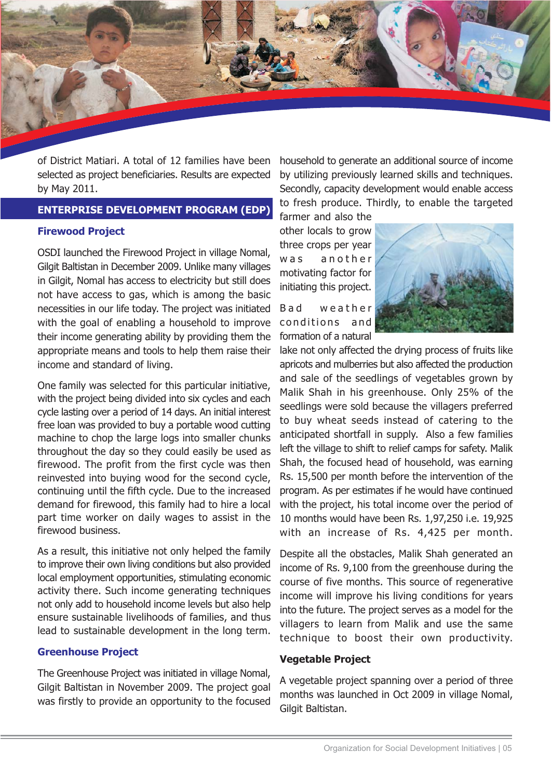

of District Matiari. A total of 12 families have been selected as project beneficiaries. Results are expected by May 2011.

#### **ENTERPRISE DEVELOPMENT PROGRAM (EDP)**

#### **Firewood Project**

OSDI launched the Firewood Project in village Nomal, Gilgit Baltistan in December 2009. Unlike many villages in Gilgit, Nomal has access to electricity but still does not have access to gas, which is among the basic necessities in our life today. The project was initiated with the goal of enabling a household to improve their income generating ability by providing them the appropriate means and tools to help them raise their income and standard of living.

One family was selected for this particular initiative, with the project being divided into six cycles and each cycle lasting over a period of 14 days. An initial interest free loan was provided to buy a portable wood cutting machine to chop the large logs into smaller chunks throughout the day so they could easily be used as firewood. The profit from the first cycle was then reinvested into buying wood for the second cycle, continuing until the fifth cycle. Due to the increased demand for firewood, this family had to hire a local part time worker on daily wages to assist in the firewood business.

As a result, this initiative not only helped the family to improve their own living conditions but also provided local employment opportunities, stimulating economic activity there. Such income generating techniques not only add to household income levels but also help ensure sustainable livelihoods of families, and thus lead to sustainable development in the long term.

#### **Greenhouse Project**

The Greenhouse Project was initiated in village Nomal, Gilgit Baltistan in November 2009. The project goal was firstly to provide an opportunity to the focused household to generate an additional source of income by utilizing previously learned skills and techniques. Secondly, capacity development would enable access to fresh produce. Thirdly, to enable the targeted

farmer and also the other locals to grow three crops per year w a s another motivating factor for initiating this project.

weather **B** a d conditions and formation of a natural



lake not only affected the drying process of fruits like apricots and mulberries but also affected the production and sale of the seedlings of vegetables grown by Malik Shah in his greenhouse. Only 25% of the seedlings were sold because the villagers preferred to buy wheat seeds instead of catering to the anticipated shortfall in supply. Also a few families left the village to shift to relief camps for safety. Malik Shah, the focused head of household, was earning Rs. 15,500 per month before the intervention of the program. As per estimates if he would have continued with the project, his total income over the period of 10 months would have been Rs. 1,97,250 i.e. 19,925 with an increase of Rs. 4,425 per month.

Despite all the obstacles, Malik Shah generated an income of Rs. 9,100 from the greenhouse during the course of five months. This source of regenerative income will improve his living conditions for years into the future. The project serves as a model for the villagers to learn from Malik and use the same technique to boost their own productivity.

#### **Vegetable Project**

A vegetable project spanning over a period of three months was launched in Oct 2009 in village Nomal, Gilgit Baltistan.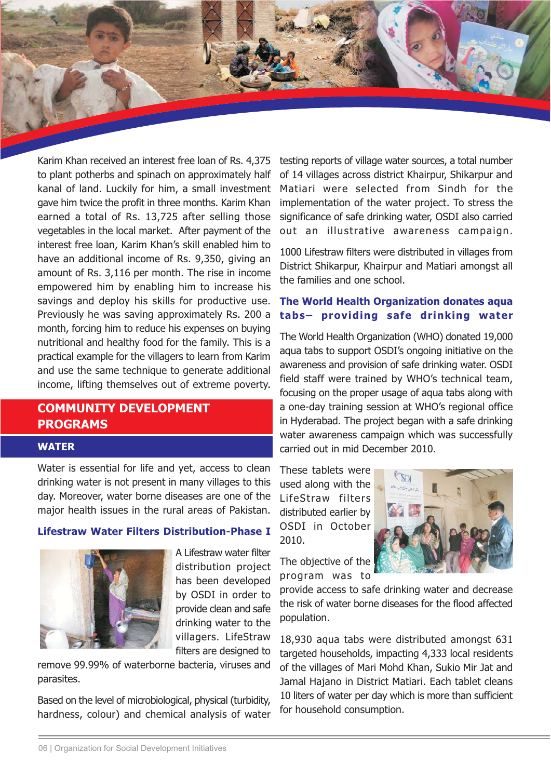Karim Khan received an interest free loan of Rs. 4,375 to plant potherbs and spinach on approximately half kanal of land. Luckily for him, a small investment gave him twice the profit in three months. Karim Khan earned a total of Rs. 13,725 after selling those vegetables in the local market. After payment of the interest free loan, Karim Khan's skill enabled him to have an additional income of Rs. 9,350, giving an amount of Rs. 3,116 per month. The rise in income empowered him by enabling him to increase his savings and deploy his skills for productive use. Previously he was saving approximately Rs. 200 a month, forcing him to reduce his expenses on buying nutritional and healthy food for the family. This is a practical example for the villagers to learn from Karim and use the same technique to generate additional income, lifting themselves out of extreme poverty.

# **COMMUNITY DEVELOPMENT PROGRAMS**

#### **WATER**

Water is essential for life and yet, access to clean drinking water is not present in many villages to this day. Moreover, water borne diseases are one of the major health issues in the rural areas of Pakistan.

#### **Lifestraw Water Filters Distribution-Phase I**



A Lifestraw water filter distribution project has been developed by OSDI in order to provide clean and safe drinking water to the villagers. LifeStraw filters are designed to

remove 99.99% of waterborne bacteria, viruses and parasites.

Based on the level of microbiological, physical (turbidity, hardness, colour) and chemical analysis of water testing reports of village water sources, a total number of 14 villages across district Khairpur, Shikarpur and Matiari were selected from Sindh for the implementation of the water project. To stress the significance of safe drinking water, OSDI also carried out an illustrative awareness campaign.

1000 Lifestraw filters were distributed in villages from District Shikarpur, Khairpur and Matiari amongst all the families and one school.

### The World Health Organization donates agua tabs- providing safe drinking water

The World Health Organization (WHO) donated 19,000 aqua tabs to support OSDI's ongoing initiative on the awareness and provision of safe drinking water. OSDI field staff were trained by WHO's technical team, focusing on the proper usage of agua tabs along with a one-day training session at WHO's regional office in Hyderabad. The project began with a safe drinking water awareness campaign which was successfully carried out in mid December 2010.

These tablets were used along with the LifeStraw filters distributed earlier by OSDI in October 2010.



The objective of the program was to

provide access to safe drinking water and decrease the risk of water borne diseases for the flood affected population.

18,930 aqua tabs were distributed amongst 631 targeted households, impacting 4,333 local residents of the villages of Mari Mohd Khan, Sukio Mir Jat and Jamal Hajano in District Matiari. Each tablet cleans 10 liters of water per day which is more than sufficient for household consumption.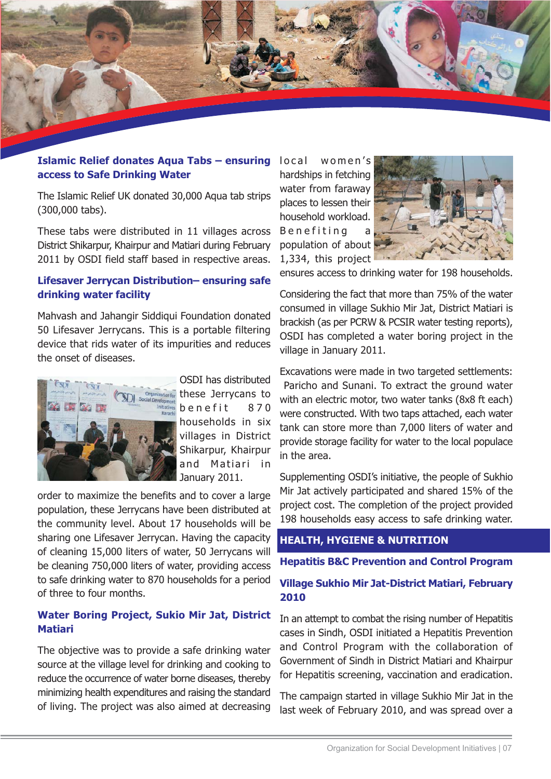

#### Islamic Relief donates Aqua Tabs - ensuring local women's access to Safe Drinking Water

The Islamic Relief UK donated 30,000 Aqua tab strips (300,000 tabs).

These tabs were distributed in 11 villages across District Shikarpur, Khairpur and Matiari during February 2011 by OSDI field staff based in respective areas.

#### Lifesaver Jerrycan Distribution-ensuring safe drinking water facility

Mahvash and Jahangir Siddigui Foundation donated 50 Lifesaver Jerrycans. This is a portable filtering device that rids water of its impurities and reduces the onset of diseases.



OSDI has distributed these Jerrycans to benefit 870 households in six villages in District Shikarpur, Khairpur and Matiari in January 2011.

order to maximize the benefits and to cover a large population, these Jerrycans have been distributed at the community level. About 17 households will be sharing one Lifesaver Jerrycan. Having the capacity of cleaning 15,000 liters of water, 50 Jerrycans will be cleaning 750,000 liters of water, providing access to safe drinking water to 870 households for a period of three to four months.

### Water Boring Project, Sukio Mir Jat, District **Matiari**

The objective was to provide a safe drinking water source at the village level for drinking and cooking to reduce the occurrence of water borne diseases, thereby minimizing health expenditures and raising the standard of living. The project was also aimed at decreasing

hardships in fetching water from faraway places to lessen their household workload. **Benefiting** population of about 1,334, this project



ensures access to drinking water for 198 households.

Considering the fact that more than 75% of the water consumed in village Sukhio Mir Jat, District Matiari is brackish (as per PCRW & PCSIR water testing reports), OSDI has completed a water boring project in the village in January 2011.

Excavations were made in two targeted settlements: Paricho and Sunani. To extract the ground water with an electric motor, two water tanks (8x8 ft each) were constructed. With two taps attached, each water tank can store more than 7,000 liters of water and provide storage facility for water to the local populace in the area.

Supplementing OSDI's initiative, the people of Sukhio Mir Jat actively participated and shared 15% of the project cost. The completion of the project provided 198 households easy access to safe drinking water.

## **HEALTH, HYGIENE & NUTRITION**

**Hepatitis B&C Prevention and Control Program** 

### Village Sukhio Mir Jat-District Matiari, February 2010

In an attempt to combat the rising number of Hepatitis cases in Sindh, OSDI initiated a Hepatitis Prevention and Control Program with the collaboration of Government of Sindh in District Matiari and Khairpur for Hepatitis screening, vaccination and eradication.

The campaign started in village Sukhio Mir Jat in the last week of February 2010, and was spread over a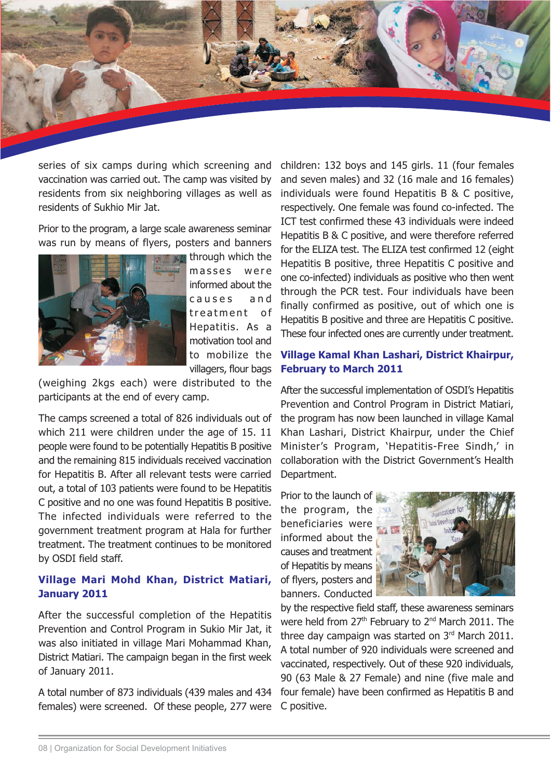series of six camps during which screening and vaccination was carried out. The camp was visited by residents from six neighboring villages as well as residents of Sukhio Mir Jat.

Prior to the program, a large scale awareness seminar was run by means of flyers, posters and banners



through which the masses were informed about the causes and treatment of Hepatitis. As a motivation tool and to mobilize the villagers, flour bags

(weighing 2kgs each) were distributed to the participants at the end of every camp.

The camps screened a total of 826 individuals out of which 211 were children under the age of 15, 11 people were found to be potentially Hepatitis B positive and the remaining 815 individuals received vaccination for Hepatitis B. After all relevant tests were carried out, a total of 103 patients were found to be Hepatitis C positive and no one was found Hepatitis B positive. The infected individuals were referred to the government treatment program at Hala for further treatment. The treatment continues to be monitored by OSDI field staff.

### Village Mari Mohd Khan, District Matiari, January 2011

After the successful completion of the Hepatitis Prevention and Control Program in Sukio Mir Jat, it was also initiated in village Mari Mohammad Khan, District Matiari. The campaign began in the first week of January 2011.

A total number of 873 individuals (439 males and 434 females) were screened. Of these people, 277 were

children: 132 boys and 145 girls. 11 (four females and seven males) and 32 (16 male and 16 females) individuals were found Hepatitis B & C positive, respectively. One female was found co-infected. The ICT test confirmed these 43 individuals were indeed Hepatitis B & C positive, and were therefore referred for the ELIZA test. The ELIZA test confirmed 12 (eight Hepatitis B positive, three Hepatitis C positive and one co-infected) individuals as positive who then went through the PCR test. Four individuals have been finally confirmed as positive, out of which one is Hepatitis B positive and three are Hepatitis C positive. These four infected ones are currently under treatment.

### Village Kamal Khan Lashari, District Khairpur, **February to March 2011**

After the successful implementation of OSDI's Hepatitis Prevention and Control Program in District Matiari, the program has now been launched in village Kamal Khan Lashari, District Khairpur, under the Chief Minister's Program, 'Hepatitis-Free Sindh,' in collaboration with the District Government's Health Department.

Prior to the launch of the program, the beneficiaries were informed about the causes and treatment of Hepatitis by means of flyers, posters and banners. Conducted



by the respective field staff, these awareness seminars were held from 27<sup>th</sup> February to 2<sup>nd</sup> March 2011. The three day campaign was started on 3rd March 2011. A total number of 920 individuals were screened and vaccinated, respectively. Out of these 920 individuals, 90 (63 Male & 27 Female) and nine (five male and four female) have been confirmed as Hepatitis B and C positive.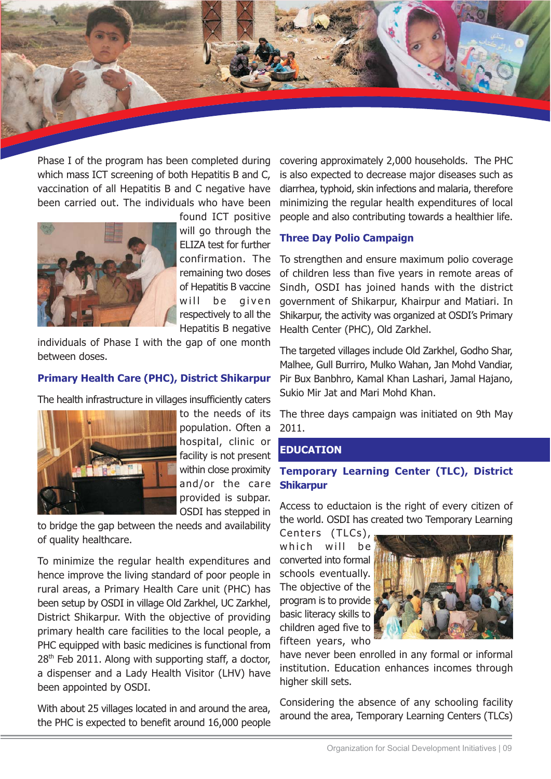Phase I of the program has been completed during which mass ICT screening of both Hepatitis B and C, vaccination of all Hepatitis B and C negative have been carried out. The individuals who have been



found ICT positive will go through the ELIZA test for further confirmation. The remaining two doses of Hepatitis B vaccine given will be respectively to all the Hepatitis B negative

individuals of Phase I with the gap of one month between doses.

### **Primary Health Care (PHC), District Shikarpur**

The health infrastructure in villages insufficiently caters



population. Often a hospital, clinic or facility is not present within close proximity and/or the care provided is subpar. OSDI has stepped in

to bridge the gap between the needs and availability of quality healthcare.

To minimize the regular health expenditures and hence improve the living standard of poor people in rural areas, a Primary Health Care unit (PHC) has been setup by OSDI in village Old Zarkhel, UC Zarkhel, District Shikarpur. With the objective of providing primary health care facilities to the local people, a PHC equipped with basic medicines is functional from  $28<sup>th</sup>$  Feb 2011. Along with supporting staff, a doctor, a dispenser and a Lady Health Visitor (LHV) have been appointed by OSDI.

With about 25 villages located in and around the area, the PHC is expected to benefit around 16,000 people

covering approximately 2,000 households. The PHC is also expected to decrease major diseases such as diarrhea, typhoid, skin infections and malaria, therefore minimizing the regular health expenditures of local people and also contributing towards a healthier life.

#### **Three Day Polio Campaign**

To strengthen and ensure maximum polio coverage of children less than five years in remote areas of Sindh, OSDI has joined hands with the district government of Shikarpur, Khairpur and Matiari. In Shikarpur, the activity was organized at OSDI's Primary Health Center (PHC), Old Zarkhel.

The targeted villages include Old Zarkhel, Godho Shar, Malhee, Gull Burriro, Mulko Wahan, Jan Mohd Vandiar, Pir Bux Banbhro, Kamal Khan Lashari, Jamal Hajano, Sukio Mir Jat and Mari Mohd Khan.

The three days campaign was initiated on 9th May 2011.

#### **EDUCATION**

### **Temporary Learning Center (TLC), District Shikarpur**

Access to eductaion is the right of every citizen of the world. OSDI has created two Temporary Learning

Centers (TLCs), which will be converted into formal schools eventually. The objective of the program is to provide basic literacy skills to children aged five to fifteen years, who



have never been enrolled in any formal or informal institution. Education enhances incomes through higher skill sets.

Considering the absence of any schooling facility around the area, Temporary Learning Centers (TLCs)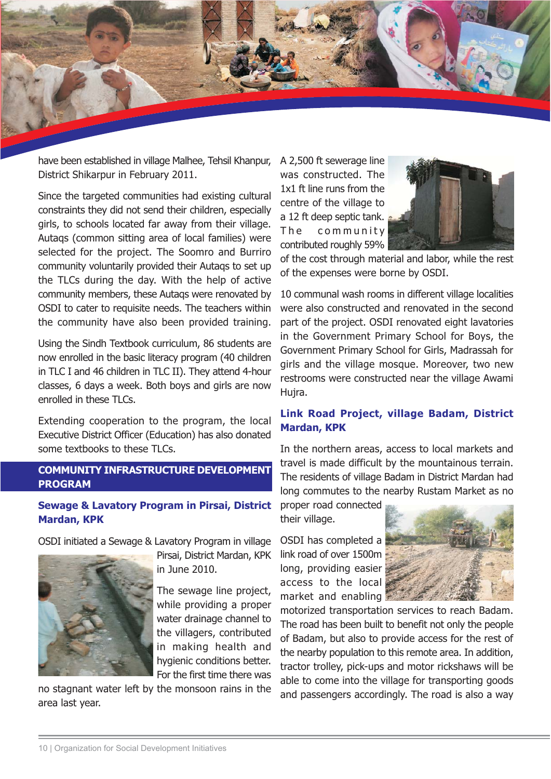

have been established in village Malhee, Tehsil Khanpur, District Shikarpur in February 2011.

Since the targeted communities had existing cultural constraints they did not send their children, especially girls, to schools located far away from their village. Autags (common sitting area of local families) were selected for the project. The Soomro and Burriro community voluntarily provided their Autags to set up the TLCs during the day. With the help of active community members, these Autags were renovated by OSDI to cater to requisite needs. The teachers within the community have also been provided training.

Using the Sindh Textbook curriculum, 86 students are now enrolled in the basic literacy program (40 children in TLC I and 46 children in TLC II). They attend 4-hour classes, 6 days a week. Both boys and girls are now enrolled in these TLCs.

Extending cooperation to the program, the local Executive District Officer (Education) has also donated some textbooks to these TLCs.

## **COMMUNITY INFRASTRUCTURE DEVELOPMENT PROGRAM**

### **Sewage & Lavatory Program in Pirsai, District Mardan, KPK**

OSDI initiated a Sewage & Lavatory Program in village



Pirsai, District Mardan, KPK in June 2010.

The sewage line project, while providing a proper water drainage channel to the villagers, contributed in making health and hygienic conditions better. For the first time there was

no stagnant water left by the monsoon rains in the area last year.

A 2,500 ft sewerage line was constructed. The 1x1 ft line runs from the centre of the village to a 12 ft deep septic tank. The community contributed roughly 59%



of the cost through material and labor, while the rest of the expenses were borne by OSDI.

10 communal wash rooms in different village localities were also constructed and renovated in the second part of the project. OSDI renovated eight lavatories in the Government Primary School for Boys, the Government Primary School for Girls, Madrassah for girls and the village mosque. Moreover, two new restrooms were constructed near the village Awami Hujra.

### Link Road Project, village Badam, District **Mardan, KPK**

In the northern areas, access to local markets and travel is made difficult by the mountainous terrain. The residents of village Badam in District Mardan had long commutes to the nearby Rustam Market as no

proper road connected their village.

OSDI has completed a link road of over 1500m long, providing easier access to the local market and enabling



motorized transportation services to reach Badam. The road has been built to benefit not only the people of Badam, but also to provide access for the rest of the nearby population to this remote area. In addition, tractor trolley, pick-ups and motor rickshaws will be able to come into the village for transporting goods and passengers accordingly. The road is also a way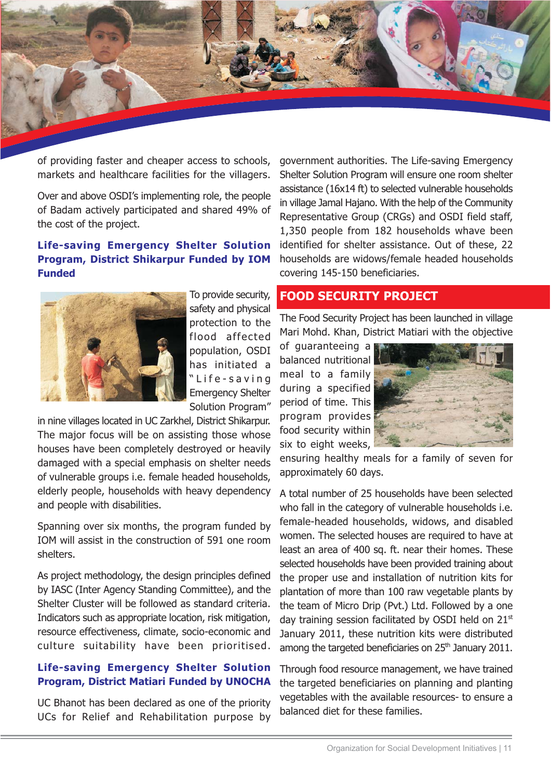

of providing faster and cheaper access to schools, markets and healthcare facilities for the villagers.

Over and above OSDI's implementing role, the people of Badam actively participated and shared 49% of the cost of the project.

### **Life-saving Emergency Shelter Solution** Program, District Shikarpur Funded by IOM **Funded**



To provide security, safety and physical protection to the flood affected population, OSDI has initiated a "Life-saving **Emergency Shelter** Solution Program"

in nine villages located in UC Zarkhel, District Shikarpur. The major focus will be on assisting those whose houses have been completely destroyed or heavily damaged with a special emphasis on shelter needs of vulnerable groups i.e. female headed households, elderly people, households with heavy dependency and people with disabilities.

Spanning over six months, the program funded by IOM will assist in the construction of 591 one room shelters.

As project methodology, the design principles defined by IASC (Inter Agency Standing Committee), and the Shelter Cluster will be followed as standard criteria. Indicators such as appropriate location, risk mitigation, resource effectiveness, climate, socio-economic and culture suitability have been prioritised.

### **Life-saving Emergency Shelter Solution Program, District Matiari Funded by UNOCHA**

UC Bhanot has been declared as one of the priority UCs for Relief and Rehabilitation purpose by government authorities. The Life-saving Emergency Shelter Solution Program will ensure one room shelter assistance (16x14 ft) to selected vulnerable households in village Jamal Hajano. With the help of the Community Representative Group (CRGs) and OSDI field staff, 1,350 people from 182 households whave been identified for shelter assistance. Out of these, 22 households are widows/female headed households covering 145-150 beneficiaries.

#### **FOOD SECURITY PROJECT**

The Food Security Project has been launched in village Mari Mohd. Khan, District Matiari with the objective

of guaranteeing a balanced nutritional meal to a family during a specified period of time. This program provides food security within six to eight weeks,



ensuring healthy meals for a family of seven for approximately 60 days.

A total number of 25 households have been selected who fall in the category of vulnerable households i.e. female-headed households, widows, and disabled women. The selected houses are required to have at least an area of 400 sq. ft. near their homes. These selected households have been provided training about the proper use and installation of nutrition kits for plantation of more than 100 raw vegetable plants by the team of Micro Drip (Pvt.) Ltd. Followed by a one day training session facilitated by OSDI held on 21<sup>st</sup> January 2011, these nutrition kits were distributed among the targeted beneficiaries on 25<sup>th</sup> January 2011.

Through food resource management, we have trained the targeted beneficiaries on planning and planting vegetables with the available resources- to ensure a balanced diet for these families.